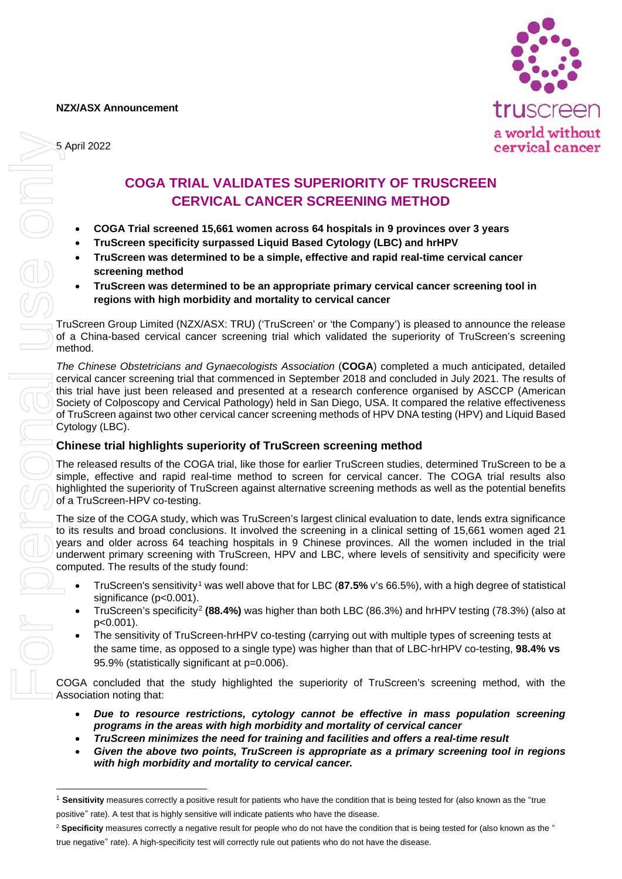**NZX/ASX Announcement**





## **COGA TRIAL VALIDATES SUPERIORITY OF TRUSCREEN CERVICAL CANCER SCREENING METHOD**

- **COGA Trial screened 15,661 women across 64 hospitals in 9 provinces over 3 years**
- **TruScreen specificity surpassed Liquid Based Cytology (LBC) and hrHPV**
- **TruScreen was determined to be a simple, effective and rapid real-time cervical cancer screening method**
- **TruScreen was determined to be an appropriate primary cervical cancer screening tool in regions with high morbidity and mortality to cervical cancer**

TruScreen Group Limited (NZX/ASX: TRU) ('TruScreen' or 'the Company') is pleased to announce the release of a China-based cervical cancer screening trial which validated the superiority of TruScreen's screening method.

*The Chinese Obstetricians and Gynaecologists Association* (**COGA**) completed a much anticipated, detailed cervical cancer screening trial that commenced in September 2018 and concluded in July 2021. The results of this trial have just been released and presented at a research conference organised by ASCCP (American Society of Colposcopy and Cervical Pathology) held in San Diego, USA. It compared the relative effectiveness of TruScreen against two other cervical cancer screening methods of HPV DNA testing (HPV) and Liquid Based Cytology (LBC).

## **Chinese trial highlights superiority of TruScreen screening method**

The released results of the COGA trial, like those for earlier TruScreen studies, determined TruScreen to be a simple, effective and rapid real-time method to screen for cervical cancer. The COGA trial results also highlighted the superiority of TruScreen against alternative screening methods as well as the potential benefits of a TruScreen-HPV co-testing.

The size of the COGA study, which was TruScreen's largest clinical evaluation to date, lends extra significance to its results and broad conclusions. It involved the screening in a clinical setting of 15,661 women aged 21 years and older across 64 teaching hospitals in 9 Chinese provinces. All the women included in the trial underwent primary screening with TruScreen, HPV and LBC, where levels of sensitivity and specificity were computed. The results of the study found:

- TruScreen's sensitivity[1](#page-0-0) was well above that for LBC (**87.5%** v's 66.5%), with a high degree of statistical significance (p<0.001).
- TruScreen's specificity[2](#page-0-1) **(88.4%)** was higher than both LBC (86.3%) and hrHPV testing (78.3%) (also at p<0.001).
- The sensitivity of TruScreen-hrHPV co-testing (carrying out with multiple types of screening tests at the same time, as opposed to a single type) was higher than that of LBC-hrHPV co-testing, **98.4% vs**  95.9% (statistically significant at p=0.006).

COGA concluded that the study highlighted the superiority of TruScreen's screening method, with the Association noting that:

- *Due to resource restrictions, cytology cannot be effective in mass population screening programs in the areas with high morbidity and mortality of cervical cancer*
- *TruScreen minimizes the need for training and facilities and offers a real-time result*
- *Given the above two points, TruScreen is appropriate as a primary screening tool in regions with high morbidity and mortality to cervical cancer.*

<span id="page-0-0"></span><sup>1</sup> **Sensitivity** measures correctly a positive result for patients who have the condition that is being tested for (also known as the "true positive" rate). A test that is highly sensitive will indicate patients who have the disease.

<span id="page-0-1"></span><sup>&</sup>lt;sup>2</sup> Specificity measures correctly a negative result for people who do not have the condition that is being tested for (also known as the "